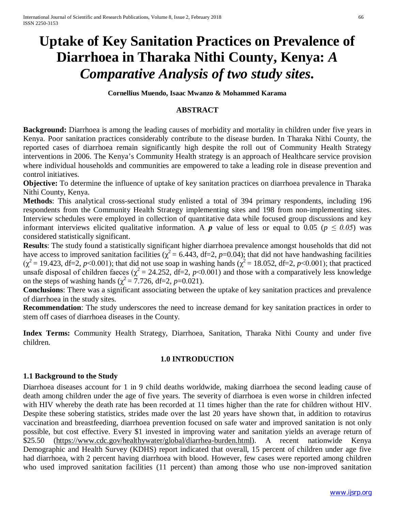# **Uptake of Key Sanitation Practices on Prevalence of Diarrhoea in Tharaka Nithi County, Kenya:** *A Comparative Analysis of two study sites.*

**Cornellius Muendo, Isaac Mwanzo & Mohammed Karama**

## **ABSTRACT**

**Background:** Diarrhoea is among the leading causes of morbidity and mortality in children under five years in Kenya. Poor sanitation practices considerably contribute to the disease burden. In Tharaka Nithi County, the reported cases of diarrhoea remain significantly high despite the roll out of Community Health Strategy interventions in 2006. The Kenya's Community Health strategy is an approach of Healthcare service provision where individual households and communities are empowered to take a leading role in disease prevention and control initiatives.

**Objective:** To determine the influence of uptake of key sanitation practices on diarrhoea prevalence in Tharaka Nithi County, Kenya.

**Methods**: This analytical cross-sectional study enlisted a total of 394 primary respondents, including 196 respondents from the Community Health Strategy implementing sites and 198 from non-implementing sites. Interview schedules were employed in collection of quantitative data while focused group discussions and key informant interviews elicited qualitative information. A *p* value of less or equal to 0.05 ( $p \le 0.05$ ) was considered statistically significant.

**Results**: The study found a statistically significant higher diarrhoea prevalence amongst households that did not have access to improved sanitation facilities ( $\chi^2$  = 6.443, df=2, *p*=0.04); that did not have handwashing facilities  $(\chi^2 = 19.423, df = 2, p < 0.001)$ ; that did not use soap in washing hands  $(\chi^2 = 18.052, df = 2, p < 0.001)$ ; that practiced unsafe disposal of children faeces ( $\chi^2$  = 24.252, df=2, *p*<0.001) and those with a comparatively less knowledge on the steps of washing hands ( $\chi^2$  = 7.726, df=2, *p*=0.021).

**Conclusions**: There was a significant associating between the uptake of key sanitation practices and prevalence of diarrhoea in the study sites.

**Recommendation**: The study underscores the need to increase demand for key sanitation practices in order to stem off cases of diarrhoea diseases in the County.

**Index Terms:** Community Health Strategy, Diarrhoea, Sanitation, Tharaka Nithi County and under five children.

#### **1.0 INTRODUCTION**

## **1.1 Background to the Study**

Diarrhoea diseases account for 1 in 9 child deaths worldwide, making diarrhoea the second leading cause of death among children under the age of five years. The severity of diarrhoea is even worse in children infected with HIV whereby the death rate has been recorded at 11 times higher than the rate for children without HIV. Despite these sobering statistics, strides made over the last 20 years have shown that, in addition to rotavirus vaccination and breastfeeding, diarrhoea prevention focused on safe water and improved sanitation is not only possible, but cost effective. Every \$1 invested in improving water and sanitation yields an average return of \$25.50 (https://www.cdc.gov/healthywater/global/diarrhea-burden.html). A recent nationwide Kenya Demographic and Health Survey (KDHS) report indicated that overall, 15 percent of children under age five had diarrhoea, with 2 percent having diarrhoea with blood. However, few cases were reported among children who used improved sanitation facilities (11 percent) than among those who use non-improved sanitation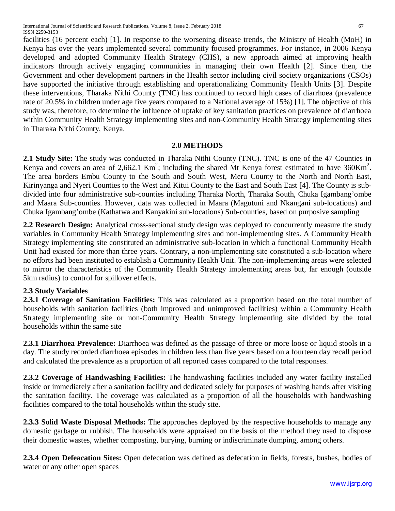International Journal of Scientific and Research Publications, Volume 8, Issue 2, February 2018 67 ISSN 2250-3153

facilities (16 percent each) [1]. In response to the worsening disease trends, the Ministry of Health (MoH) in Kenya has over the years implemented several community focused programmes. For instance, in 2006 Kenya developed and adopted Community Health Strategy (CHS), a new approach aimed at improving health indicators through actively engaging communities in managing their own Health [2]. Since then, the Government and other development partners in the Health sector including civil society organizations (CSOs) have supported the initiative through establishing and operationalizing Community Health Units [3]. Despite these interventions, Tharaka Nithi County (TNC) has continued to record high cases of diarrhoea (prevalence rate of 20.5% in children under age five years compared to a National average of 15%) [1]. The objective of this study was, therefore, to determine the influence of uptake of key sanitation practices on prevalence of diarrhoea within Community Health Strategy implementing sites and non-Community Health Strategy implementing sites in Tharaka Nithi County, Kenya.

## **2.0 METHODS**

**2.1 Study Site:** The study was conducted in Tharaka Nithi County (TNC). TNC is one of the 47 Counties in Kenya and covers an area of 2,662.1 Km<sup>2</sup>; including the shared Mt Kenya forest estimated to have  $360 \text{Km}^2$ . The area borders Embu County to the South and South West, Meru County to the North and North East, Kirinyanga and Nyeri Counties to the West and Kitui County to the East and South East [4]. The County is subdivided into four administrative sub-counties including Tharaka North, Tharaka South, Chuka Igambang'ombe and Maara Sub-counties. However, data was collected in Maara (Magutuni and Nkangani sub-locations) and Chuka Igambang'ombe (Kathatwa and Kanyakini sub-locations) Sub-counties, based on purposive sampling

**2.2 Research Design:** Analytical cross-sectional study design was deployed to concurrently measure the study variables in Community Health Strategy implementing sites and non-implementing sites. A Community Health Strategy implementing site constituted an administrative sub-location in which a functional Community Health Unit had existed for more than three years. Contrary, a non-implementing site constituted a sub-location where no efforts had been instituted to establish a Community Health Unit. The non-implementing areas were selected to mirror the characteristics of the Community Health Strategy implementing areas but, far enough (outside 5km radius) to control for spillover effects.

## **2.3 Study Variables**

**2.3.1 Coverage of Sanitation Facilities:** This was calculated as a proportion based on the total number of households with sanitation facilities (both improved and unimproved facilities) within a Community Health Strategy implementing site or non-Community Health Strategy implementing site divided by the total households within the same site

**2.3.1 Diarrhoea Prevalence:** Diarrhoea was defined as the passage of three or more loose or liquid stools in a day. The study recorded diarrhoea episodes in children less than five years based on a fourteen day recall period and calculated the prevalence as a proportion of all reported cases compared to the total responses.

**2.3.2 Coverage of Handwashing Facilities:** The handwashing facilities included any water facility installed inside or immediately after a sanitation facility and dedicated solely for purposes of washing hands after visiting the sanitation facility. The coverage was calculated as a proportion of all the households with handwashing facilities compared to the total households within the study site.

**2.3.3 Solid Waste Disposal Methods:** The approaches deployed by the respective households to manage any domestic garbage or rubbish. The households were appraised on the basis of the method they used to dispose their domestic wastes, whether composting, burying, burning or indiscriminate dumping, among others.

**2.3.4 Open Defeacation Sites:** Open defecation was defined as defecation in fields, forests, bushes, bodies of water or any other open spaces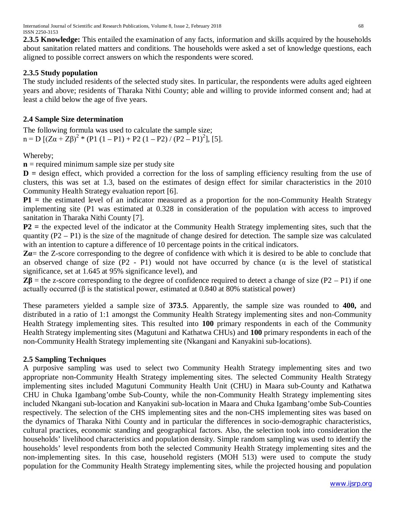**2.3.5 Knowledge:** This entailed the examination of any facts, information and skills acquired by the households about sanitation related matters and conditions. The households were asked a set of knowledge questions, each aligned to possible correct answers on which the respondents were scored.

# **2.3.5 Study population**

The study included residents of the selected study sites. In particular, the respondents were adults aged eighteen years and above; residents of Tharaka Nithi County; able and willing to provide informed consent and; had at least a child below the age of five years.

# **2.4 Sample Size determination**

The following formula was used to calculate the sample size;  $n = D \left[ (Z\alpha + Z\beta)^2 * (P1 (1 - P1) + P2 (1 - P2) / (P2 - P1)^2 \right], [5].$ 

Whereby;

**n** = required minimum sample size per study site

**D** = design effect, which provided a correction for the loss of sampling efficiency resulting from the use of clusters, this was set at 1.3, based on the estimates of design effect for similar characteristics in the 2010 Community Health Strategy evaluation report [6].

**P1** = the estimated level of an indicator measured as a proportion for the non-Community Health Strategy implementing site (P1 was estimated at 0.328 in consideration of the population with access to improved sanitation in Tharaka Nithi County [7].

**P2 =** the expected level of the indicator at the Community Health Strategy implementing sites, such that the quantity (P2 – P1) is the size of the magnitude of change desired for detection. The sample size was calculated with an intention to capture a difference of 10 percentage points in the critical indicators.

**Zα**= the Z-score corresponding to the degree of confidence with which it is desired to be able to conclude that an observed change of size  $(P2 - P1)$  would not have occurred by chance  $(\alpha$  is the level of statistical significance, set at 1.645 at 95% significance level), and

 $Z\beta$  = the z-score corresponding to the degree of confidence required to detect a change of size (P2 – P1) if one actually occurred ( $\beta$  is the statistical power, estimated at 0.840 at 80% statistical power)

These parameters yielded a sample size of **373.5**. Apparently, the sample size was rounded to **400,** and distributed in a ratio of 1:1 amongst the Community Health Strategy implementing sites and non-Community Health Strategy implementing sites. This resulted into **100** primary respondents in each of the Community Health Strategy implementing sites (Magutuni and Kathatwa CHUs) and **100** primary respondents in each of the non-Community Health Strategy implementing site (Nkangani and Kanyakini sub-locations).

# **2.5 Sampling Techniques**

A purposive sampling was used to select two Community Health Strategy implementing sites and two appropriate non-Community Health Strategy implementing sites. The selected Community Health Strategy implementing sites included Magutuni Community Health Unit (CHU) in Maara sub-County and Kathatwa CHU in Chuka Igambang'ombe Sub-County, while the non-Community Health Strategy implementing sites included Nkangani sub-location and Kanyakini sub-location in Maara and Chuka Igambang'ombe Sub-Counties respectively. The selection of the CHS implementing sites and the non-CHS implementing sites was based on the dynamics of Tharaka Nithi County and in particular the differences in socio-demographic characteristics, cultural practices, economic standing and geographical factors. Also, the selection took into consideration the households' livelihood characteristics and population density. Simple random sampling was used to identify the households' level respondents from both the selected Community Health Strategy implementing sites and the non-implementing sites. In this case, household registers (MOH 513) were used to compute the study population for the Community Health Strategy implementing sites, while the projected housing and population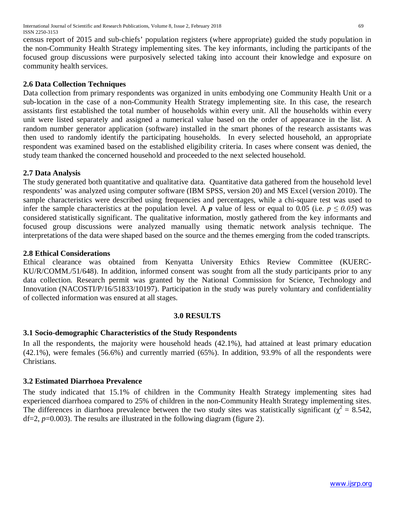International Journal of Scientific and Research Publications, Volume 8, Issue 2, February 2018 69 ISSN 2250-3153

census report of 2015 and sub-chiefs' population registers (where appropriate) guided the study population in the non-Community Health Strategy implementing sites. The key informants, including the participants of the focused group discussions were purposively selected taking into account their knowledge and exposure on community health services.

## **2.6 Data Collection Techniques**

Data collection from primary respondents was organized in units embodying one Community Health Unit or a sub-location in the case of a non-Community Health Strategy implementing site. In this case, the research assistants first established the total number of households within every unit. All the households within every unit were listed separately and assigned a numerical value based on the order of appearance in the list. A random number generator application (software) installed in the smart phones of the research assistants was then used to randomly identify the participating households. In every selected household, an appropriate respondent was examined based on the established eligibility criteria. In cases where consent was denied, the study team thanked the concerned household and proceeded to the next selected household.

### **2.7 Data Analysis**

The study generated both quantitative and qualitative data. Quantitative data gathered from the household level respondents' was analyzed using computer software (IBM SPSS, version 20) and MS Excel (version 2010). The sample characteristics were described using frequencies and percentages, while a chi-square test was used to infer the sample characteristics at the population level. A *p* value of less or equal to 0.05 (i.e.  $p \le 0.05$ ) was considered statistically significant. The qualitative information, mostly gathered from the key informants and focused group discussions were analyzed manually using thematic network analysis technique. The interpretations of the data were shaped based on the source and the themes emerging from the coded transcripts.

#### **2.8 Ethical Considerations**

Ethical clearance was obtained from Kenyatta University Ethics Review Committee (KUERC-KU/R/COMM./51/648). In addition, informed consent was sought from all the study participants prior to any data collection. Research permit was granted by the National Commission for Science, Technology and Innovation (NACOSTI/P/16/51833/10197). Participation in the study was purely voluntary and confidentiality of collected information was ensured at all stages.

#### **3.0 RESULTS**

#### **3.1 Socio-demographic Characteristics of the Study Respondents**

In all the respondents, the majority were household heads (42.1%), had attained at least primary education (42.1%), were females (56.6%) and currently married (65%). In addition, 93.9% of all the respondents were Christians.

## **3.2 Estimated Diarrhoea Prevalence**

The study indicated that 15.1% of children in the Community Health Strategy implementing sites had experienced diarrhoea compared to 25% of children in the non-Community Health Strategy implementing sites. The differences in diarrhoea prevalence between the two study sites was statistically significant ( $\chi^2 = 8.542$ , df=2, *p*=0.003). The results are illustrated in the following diagram (figure 2).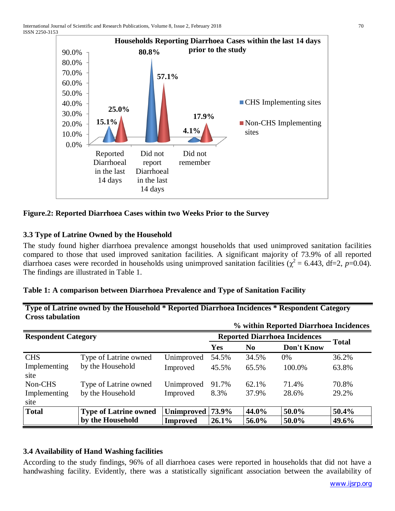

# **Figure.2: Reported Diarrhoea Cases within two Weeks Prior to the Survey**

# **3.3 Type of Latrine Owned by the Household**

The study found higher diarrhoea prevalence amongst households that used unimproved sanitation facilities compared to those that used improved sanitation facilities. A significant majority of 73.9% of all reported diarrhoea cases were recorded in households using unimproved sanitation facilities ( $\chi^2$  = 6.443, df=2, *p*=0.04). The findings are illustrated in Table 1.

## **Table 1: A comparison between Diarrhoea Prevalence and Type of Sanitation Facility**

**Type of Latrine owned by the Household \* Reported Diarrhoea Incidences \* Respondent Category Cross tabulation % within Reported Diarrhoea Incidences**

|                            |                              |                  |            |                | 70 WILLIIII REPOFLEG DIAFFIIOEA INCIGENCES |              |
|----------------------------|------------------------------|------------------|------------|----------------|--------------------------------------------|--------------|
| <b>Respondent Category</b> |                              |                  |            |                | <b>Reported Diarrhoea Incidences</b>       |              |
|                            |                              |                  | <b>Yes</b> | N <sub>0</sub> | Don't Know                                 | <b>Total</b> |
| <b>CHS</b>                 | Type of Latrine owned        | Unimproved       | 54.5%      | 34.5%          | 0%                                         | 36.2%        |
| Implementing<br>site       | by the Household             | Improved         | 45.5%      | 65.5%          | 100.0%                                     | 63.8%        |
| Non-CHS                    | Type of Latrine owned        | Unimproved       | 91.7%      | 62.1%          | 71.4%                                      | 70.8%        |
| Implementing<br>site       | by the Household             | Improved         | 8.3%       | 37.9%          | 28.6%                                      | 29.2%        |
| <b>Total</b>               | <b>Type of Latrine owned</b> | Unimproved 73.9% |            | 44.0%          | 50.0%                                      | 50.4%        |
|                            | by the Household             | <b>Improved</b>  | 26.1%      | 56.0%          | 50.0%                                      | 49.6%        |

## **3.4 Availability of Hand Washing facilities**

According to the study findings, 96% of all diarrhoea cases were reported in households that did not have a handwashing facility. Evidently, there was a statistically significant association between the availability of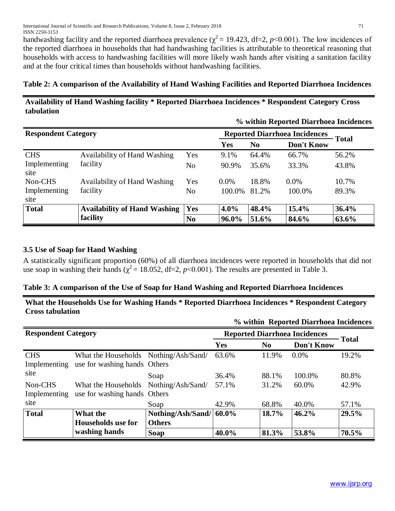handwashing facility and the reported diarrhoea prevalence ( $\chi^2$  = 19.423, df=2, *p*<0.001). The low incidences of the reported diarrhoea in households that had handwashing facilities is attributable to theoretical reasoning that households with access to handwashing facilities will more likely wash hands after visiting a sanitation facility and at the four critical times than households without handwashing facilities.

# **Table 2: A comparison of the Availability of Hand Washing Facilities and Reported Diarrhoea Incidences**

# **Availability of Hand Washing facility \* Reported Diarrhoea Incidences \* Respondent Category Cross tabulation**

|                            |                                     |     | % within Reported Diarrhoea Incidences |                              |                                      |       |  |
|----------------------------|-------------------------------------|-----|----------------------------------------|------------------------------|--------------------------------------|-------|--|
| <b>Respondent Category</b> |                                     |     |                                        |                              | <b>Reported Diarrhoea Incidences</b> |       |  |
|                            |                                     |     | Yes                                    | Don't Know<br>N <sub>0</sub> |                                      | Total |  |
| <b>CHS</b>                 | Availability of Hand Washing        | Yes | 9.1%                                   | 64.4%                        | 66.7%                                | 56.2% |  |
| Implementing<br>site       | facility                            | No  | 90.9%                                  | 35.6%                        | 33.3%                                | 43.8% |  |
| Non-CHS                    | <b>Availability of Hand Washing</b> | Yes | $0.0\%$                                | 18.8%                        | $0.0\%$                              | 10.7% |  |
| Implementing<br>site       | facility                            | No  | 100.0%                                 | 81.2%                        | 100.0%                               | 89.3% |  |
| <b>Total</b>               | <b>Availability of Hand Washing</b> | Yes | $4.0\%$                                | 48.4%                        | 15.4%                                | 36.4% |  |
|                            | facility                            | No. | 96.0%                                  | 51.6%                        | 84.6%                                | 63.6% |  |

# **3.5 Use of Soap for Hand Washing**

A statistically significant proportion (60%) of all diarrhoea incidences were reported in households that did not use soap in washing their hands ( $\chi^2$  = 18.052, df=2, *p*<0.001). The results are presented in Table 3.

# **Table 3: A comparison of the Use of Soap for Hand Washing and Reported Diarrhoea Incidences**

**What the Households Use for Washing Hands \* Reported Diarrhoea Incidences \* Respondent Category Cross tabulation**

|                            |                                                                       |                                    |            |                | to within Reported Diarrhoea Incidences |              |
|----------------------------|-----------------------------------------------------------------------|------------------------------------|------------|----------------|-----------------------------------------|--------------|
| <b>Respondent Category</b> |                                                                       |                                    |            |                | <b>Reported Diarrhoea Incidences</b>    | <b>Total</b> |
|                            |                                                                       |                                    | <b>Yes</b> | N <sub>0</sub> | Don't Know                              |              |
| <b>CHS</b><br>Implementing | What the Households Nothing/Ash/Sand/<br>use for washing hands Others |                                    | 63.6%      | 11.9%          | $0.0\%$                                 | 19.2%        |
| site                       |                                                                       | Soap                               | 36.4%      | 88.1%          | 100.0%                                  | 80.8%        |
| Non-CHS<br>Implementing    | What the Households Nothing/Ash/Sand/<br>use for washing hands Others |                                    | 57.1%      | 31.2%          | 60.0%                                   | 42.9%        |
| site                       |                                                                       | Soap                               | 42.9%      | 68.8%          | 40.0%                                   | 57.1%        |
| <b>Total</b>               | What the<br>Households use for                                        | Nothing/Ash/Sand/<br><b>Others</b> | 60.0%      | 18.7%          | 46.2%                                   | 29.5%        |
|                            | washing hands                                                         | <b>Soap</b>                        | 40.0%      | 81.3%          | 53.8%                                   | 70.5%        |

# **% within Reported Diarrhoea Incidences**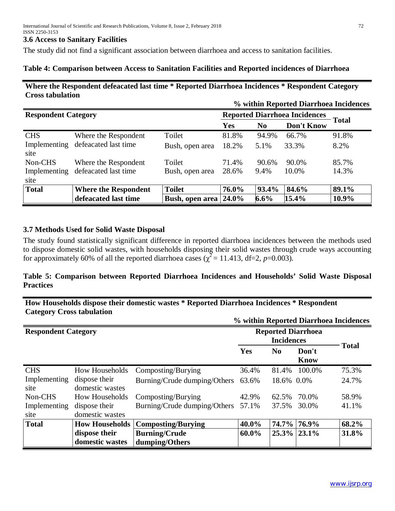#### **3.6 Access to Sanitary Facilities**

The study did not find a significant association between diarrhoea and access to sanitation facilities.

## **Table 4: Comparison between Access to Sanitation Facilities and Reported incidences of Diarrhoea**

## **Where the Respondent defeacated last time \* Reported Diarrhoea Incidences \* Respondent Category Cross tabulation**

|                            |                             |                 |                                      |                | % within Reported Diarrhoea Incidences |       |
|----------------------------|-----------------------------|-----------------|--------------------------------------|----------------|----------------------------------------|-------|
| <b>Respondent Category</b> |                             |                 | <b>Reported Diarrhoea Incidences</b> |                |                                        |       |
|                            |                             |                 | <b>Yes</b>                           | N <sub>0</sub> | Don't Know                             | Total |
| <b>CHS</b>                 | Where the Respondent        | Toilet          | 81.8%                                | 94.9%          | 66.7%                                  | 91.8% |
| Implementing<br>site       | defeacated last time        | Bush, open area | 18.2%                                | 5.1%           | 33.3%                                  | 8.2%  |
| Non-CHS                    | Where the Respondent        | Toilet          | 71.4%                                | 90.6%          | 90.0%                                  | 85.7% |
| Implementing               | defeacated last time        | Bush, open area | 28.6%                                | 9.4%           | 10.0%                                  | 14.3% |
| site                       |                             |                 |                                      |                |                                        |       |
| <b>Total</b>               | <b>Where the Respondent</b> | <b>Toilet</b>   | 76.0%                                | 93.4%          | 84.6%                                  | 89.1% |
|                            | defeacated last time        | Bush, open area | 24.0%                                | $6.6\%$        | 15.4%                                  | 10.9% |

## **3.7 Methods Used for Solid Waste Disposal**

The study found statistically significant difference in reported diarrhoea incidences between the methods used to dispose domestic solid wastes, with households disposing their solid wastes through crude ways accounting for approximately 60% of all the reported diarrhoea cases ( $\chi^2$  = 11.413, df=2, *p*=0.003).

# **Table 5: Comparison between Reported Diarrhoea Incidences and Households' Solid Waste Disposal Practices**

# **How Households dispose their domestic wastes \* Reported Diarrhoea Incidences \* Respondent Category Cross tabulation**

|                            |                                  |                                        |                           |                |                      | % within Reported Diarrhoea Incidences |
|----------------------------|----------------------------------|----------------------------------------|---------------------------|----------------|----------------------|----------------------------------------|
| <b>Respondent Category</b> |                                  |                                        | <b>Reported Diarrhoea</b> |                |                      |                                        |
|                            |                                  |                                        | Yes                       | N <sub>0</sub> | Don't<br><b>Know</b> | <b>Total</b>                           |
| <b>CHS</b>                 | <b>How Households</b>            | Composting/Burying                     | 36.4%                     | 81.4%          | 100.0%               | 75.3%                                  |
| Implementing<br>site       | dispose their<br>domestic wastes | Burning/Crude dumping/Others           | 63.6%                     | 18.6% 0.0%     |                      | 24.7%                                  |
| Non-CHS                    | <b>How Households</b>            | Composting/Burying                     | 42.9%                     | 62.5%          | 70.0%                | 58.9%                                  |
| Implementing<br>site       | dispose their<br>domestic wastes | Burning/Crude dumping/Others           | 57.1%                     | 37.5%          | 30.0%                | 41.1%                                  |
| <b>Total</b>               | <b>How Households</b>            | <b>Composting/Burying</b>              | 40.0%                     | 74.7%          | 76.9%                | 68.2%                                  |
|                            | dispose their<br>domestic wastes | <b>Burning/Crude</b><br>dumping/Others | $60.0\%$                  |                | $25.3\%$ 23.1%       | 31.8%                                  |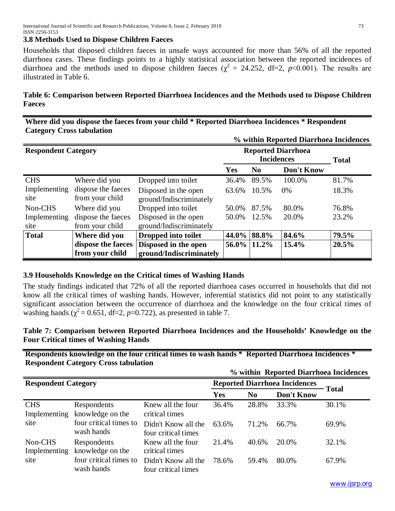### **3.8 Methods Used to Dispose Children Faeces**

Households that disposed children faeces in unsafe ways accounted for more than 56% of all the reported diarrhoea cases. These findings points to a highly statistical association between the reported incidences of diarrhoea and the methods used to dispose children faeces ( $\chi^2$  = 24.252, df=2, *p*<0.001). The results are illustrated in Table 6.

# **Table 6: Comparison between Reported Diarrhoea Incidences and the Methods used to Dispose Children Faeces**

**Where did you dispose the faeces from your child \* Reported Diarrhoea Incidences \* Respondent Category Cross tabulation**

|                            |                    |                         |                           |              | % within Reported Diarrhoea Incidences |       |
|----------------------------|--------------------|-------------------------|---------------------------|--------------|----------------------------------------|-------|
| <b>Respondent Category</b> |                    |                         | <b>Reported Diarrhoea</b> | <b>Total</b> |                                        |       |
|                            |                    |                         | Yes                       | No.          | Don't Know                             |       |
| <b>CHS</b>                 | Where did you      | Dropped into toilet     | 36.4%                     | 89.5%        | 100.0%                                 | 81.7% |
| Implementing               | dispose the faeces | Disposed in the open    | 63.6%                     | 10.5%        | 0%                                     | 18.3% |
| site                       | from your child    | ground/Indiscriminately |                           |              |                                        |       |
| Non-CHS                    | Where did you      | Dropped into toilet     | 50.0%                     | 87.5%        | 80.0%                                  | 76.8% |
| Implementing               | dispose the faeces | Disposed in the open    | 50.0%                     | 12.5%        | 20.0%                                  | 23.2% |
| site                       | from your child    | ground/Indiscriminately |                           |              |                                        |       |
| <b>Total</b>               | Where did you      | Dropped into toilet     | $44.0\%$                  | 88.8%        | 84.6%                                  | 79.5% |
|                            | dispose the faeces | Disposed in the open    | $56.0\%$                  | 11.2%        | 15.4%                                  | 20.5% |
|                            | from your child    | ground/Indiscriminately |                           |              |                                        |       |

## **3.9 Households Knowledge on the Critical times of Washing Hands**

The study findings indicated that 72% of all the reported diarrhoea cases occurred in households that did not know all the critical times of washing hands. However, inferential statistics did not point to any statistically significant association between the occurrence of diarrhoea and the knowledge on the four critical times of washing hands ( $\chi^2$  = 0.651, df=2, *p*=0.722), as presented in table 7.

# **Table 7: Comparison between Reported Diarrhoea Incidences and the Households' Knowledge on the Four Critical times of Washing Hands**

**Respondents knowledge on the four critical times to wash hands \* Reported Diarrhoea Incidences \* Respondent Category Cross tabulation**

|  |  |  |  | % within Reported Diarrhoea Incidences |
|--|--|--|--|----------------------------------------|
|--|--|--|--|----------------------------------------|

| <b>Respondent Category</b> |                                      |                                            | <b>Reported Diarrhoea Incidences</b> |                |                   |         |
|----------------------------|--------------------------------------|--------------------------------------------|--------------------------------------|----------------|-------------------|---------|
|                            |                                      |                                            | <b>Yes</b>                           | N <sub>0</sub> | <b>Don't Know</b> | - Total |
| <b>CHS</b><br>Implementing | Respondents<br>knowledge on the      | Knew all the four<br>critical times        | 36.4%                                | 28.8%          | 33.3%             | 30.1%   |
| site                       | four critical times to<br>wash hands | Didn't Know all the<br>four critical times | 63.6%                                | 71.2%          | 66.7%             | 69.9%   |
| Non-CHS<br>Implementing    | Respondents<br>knowledge on the      | Knew all the four<br>critical times        | 21.4%                                | 40.6%          | 20.0%             | 32.1%   |
| site                       | four critical times to<br>wash hands | Didn't Know all the<br>four critical times | 78.6%                                | 59.4%          | 80.0%             | 67.9%   |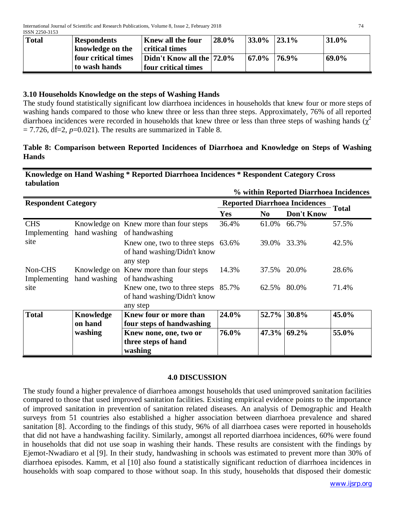| <b>Total</b> | <b>Respondents</b>  | <b>Knew all the four</b>  | 28.0% | <b>33.0%</b> | $123.1\%$ | 31.0% |
|--------------|---------------------|---------------------------|-------|--------------|-----------|-------|
|              | knowledge on the    | critical times            |       |              |           |       |
|              | four critical times | Didn't Know all the 72.0% |       | 67.0%        | $176.9\%$ | 69.0% |
|              | to wash hands       | four critical times       |       |              |           |       |

# **3.10 Households Knowledge on the steps of Washing Hands**

The study found statistically significant low diarrhoea incidences in households that knew four or more steps of washing hands compared to those who knew three or less than three steps. Approximately, 76% of all reported diarrhoea incidences were recorded in households that knew three or less than three steps of washing hands ( $\chi^2$ )  $= 7.726$ , df=2,  $p=0.021$ ). The results are summarized in Table 8.

# **Table 8: Comparison between Reported Incidences of Diarrhoea and Knowledge on Steps of Washing Hands**

## **Knowledge on Hand Washing \* Reported Diarrhoea Incidences \* Respondent Category Cross tabulation**

**% within Reported Diarrhoea Incidences**

| <b>Respondent Category</b> |              |                                                                               | <b>Reported Diarrhoea Incidences</b> |                |                   |              |
|----------------------------|--------------|-------------------------------------------------------------------------------|--------------------------------------|----------------|-------------------|--------------|
|                            |              |                                                                               | Yes                                  | N <sub>0</sub> | <b>Don't Know</b> | <b>Total</b> |
| <b>CHS</b><br>Implementing |              | Knowledge on Knew more than four steps<br>hand washing of handwashing         | 36.4%                                | 61.0%          | 66.7%             | 57.5%        |
| site                       |              | Knew one, two to three steps 63.6%<br>of hand washing/Didn't know<br>any step |                                      | 39.0%          | 33.3%             | 42.5%        |
| Non-CHS<br>Implementing    | hand washing | Knowledge on Knew more than four steps<br>of handwashing                      | 14.3%                                | 37.5%          | 20.0%             | 28.6%        |
| site                       |              | Knew one, two to three steps 85.7%<br>of hand washing/Didn't know<br>any step |                                      | 62.5%          | 80.0%             | 71.4%        |
| <b>Total</b>               | Knowledge    | Knew four or more than                                                        | 24.0%                                |                | 52.7% 30.8%       | 45.0%        |
|                            | on hand      | four steps of handwashing                                                     |                                      |                |                   |              |
|                            | washing      | Knew none, one, two or                                                        | 76.0%                                |                | 47.3% 69.2%       | 55.0%        |
|                            |              | three steps of hand                                                           |                                      |                |                   |              |
|                            |              | washing                                                                       |                                      |                |                   |              |

## **4.0 DISCUSSION**

The study found a higher prevalence of diarrhoea amongst households that used unimproved sanitation facilities compared to those that used improved sanitation facilities. Existing empirical evidence points to the importance of improved sanitation in prevention of sanitation related diseases. An analysis of Demographic and Health surveys from 51 countries also established a higher association between diarrhoea prevalence and shared sanitation [8]. According to the findings of this study, 96% of all diarrhoea cases were reported in households that did not have a handwashing facility. Similarly, amongst all reported diarrhoea incidences, 60% were found in households that did not use soap in washing their hands. These results are consistent with the findings by Ejemot-Nwadiaro et al [9]. In their study, handwashing in schools was estimated to prevent more than 30% of diarrhoea episodes. Kamm, et al [10] also found a statistically significant reduction of diarrhoea incidences in households with soap compared to those without soap. In this study, households that disposed their domestic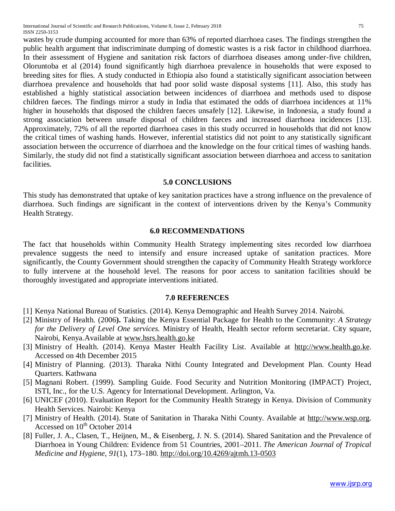International Journal of Scientific and Research Publications, Volume 8, Issue 2, February 2018 75 ISSN 2250-3153

wastes by crude dumping accounted for more than 63% of reported diarrhoea cases. The findings strengthen the public health argument that indiscriminate dumping of domestic wastes is a risk factor in childhood diarrhoea. In their assessment of Hygiene and sanitation risk factors of diarrhoea diseases among under-five children, Oloruntoba et al (2014) found significantly high diarrhoea prevalence in households that were exposed to breeding sites for flies. A study conducted in Ethiopia also found a statistically significant association between diarrhoea prevalence and households that had poor solid waste disposal systems [11]. Also, this study has established a highly statistical association between incidences of diarrhoea and methods used to dispose children faeces. The findings mirror a study in India that estimated the odds of diarrhoea incidences at 11% higher in households that disposed the children faeces unsafely [12]. Likewise, in Indonesia, a study found a strong association between unsafe disposal of children faeces and increased diarrhoea incidences [13]. Approximately, 72% of all the reported diarrhoea cases in this study occurred in households that did not know the critical times of washing hands. However, inferential statistics did not point to any statistically significant

association between the occurrence of diarrhoea and the knowledge on the four critical times of washing hands. Similarly, the study did not find a statistically significant association between diarrhoea and access to sanitation facilities.

#### **5.0 CONCLUSIONS**

This study has demonstrated that uptake of key sanitation practices have a strong influence on the prevalence of diarrhoea. Such findings are significant in the context of interventions driven by the Kenya's Community Health Strategy.

#### **6.0 RECOMMENDATIONS**

The fact that households within Community Health Strategy implementing sites recorded low diarrhoea prevalence suggests the need to intensify and ensure increased uptake of sanitation practices. More significantly, the County Government should strengthen the capacity of Community Health Strategy workforce to fully intervene at the household level. The reasons for poor access to sanitation facilities should be thoroughly investigated and appropriate interventions initiated.

#### **7.0 REFERENCES**

- [1] Kenya National Bureau of Statistics. (2014). Kenya Demographic and Health Survey 2014. Nairobi.
- [2] Ministry of Health. (2006**).** Taking the Kenya Essential Package for Health to the Community: *A Strategy for the Delivery of Level One services.* Ministry of Health, Health sector reform secretariat. City square, Nairobi, Kenya.Available at www.hsrs.health.go.ke
- [3] Ministry of Health. (2014). Kenya Master Health Facility List. Available at http://www.health.go.ke. Accessed on 4th December 2015
- [4] Ministry of Planning. (2013). Tharaka Nithi County Integrated and Development Plan. County Head Quarters. Kathwana
- [5] Magnani Robert. (1999). Sampling Guide. Food Security and Nutrition Monitoring (IMPACT) Project, ISTI, Inc., for the U.S. Agency for International Development. Arlington, Va.
- [6] UNICEF (2010). Evaluation Report for the Community Health Strategy in Kenya. Division of Community Health Services. Nairobi: Kenya
- [7] Ministry of Health. (2014). State of Sanitation in Tharaka Nithi County. Available at http://www.wsp.org. Accessed on 10<sup>th</sup> October 2014
- [8] Fuller, J. A., Clasen, T., Heijnen, M., & Eisenberg, J. N. S. (2014). Shared Sanitation and the Prevalence of Diarrhoea in Young Children: Evidence from 51 Countries, 2001–2011. *The American Journal of Tropical Medicine and Hygiene*, *91*(1), 173–180. http://doi.org/10.4269/ajtmh.13-0503